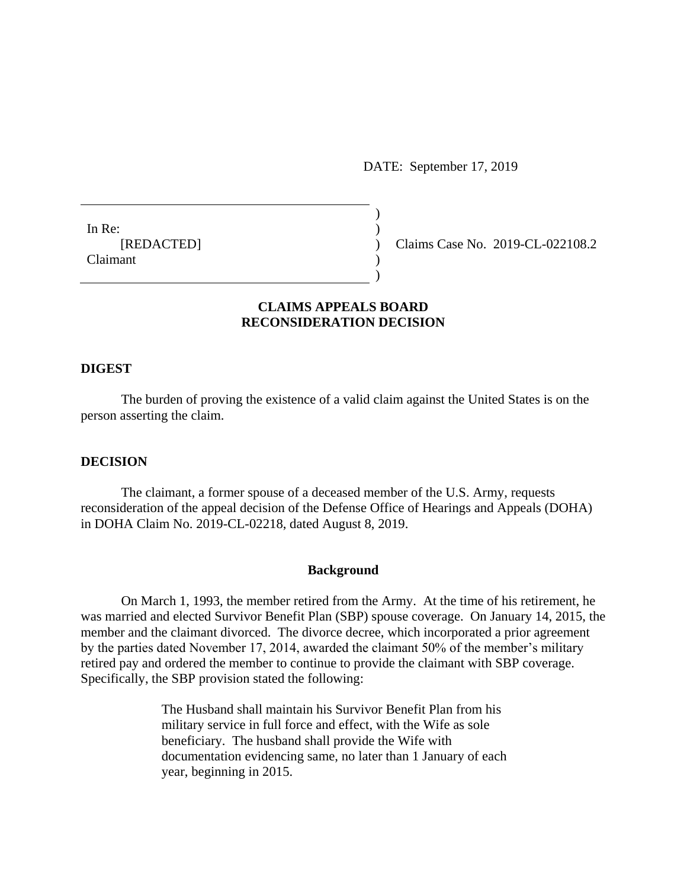DATE: September 17, 2019

In Re: [REDACTED] Claimant

Claims Case No. 2019-CL-022108.2

## **CLAIMS APPEALS BOARD RECONSIDERATION DECISION**

) ) ) ) )

#### **DIGEST**

The burden of proving the existence of a valid claim against the United States is on the person asserting the claim.

### **DECISION**

The claimant, a former spouse of a deceased member of the U.S. Army, requests reconsideration of the appeal decision of the Defense Office of Hearings and Appeals (DOHA) in DOHA Claim No. 2019-CL-02218, dated August 8, 2019.

#### **Background**

On March 1, 1993, the member retired from the Army. At the time of his retirement, he was married and elected Survivor Benefit Plan (SBP) spouse coverage. On January 14, 2015, the member and the claimant divorced. The divorce decree, which incorporated a prior agreement by the parties dated November 17, 2014, awarded the claimant 50% of the member's military retired pay and ordered the member to continue to provide the claimant with SBP coverage. Specifically, the SBP provision stated the following:

> The Husband shall maintain his Survivor Benefit Plan from his military service in full force and effect, with the Wife as sole beneficiary. The husband shall provide the Wife with documentation evidencing same, no later than 1 January of each year, beginning in 2015.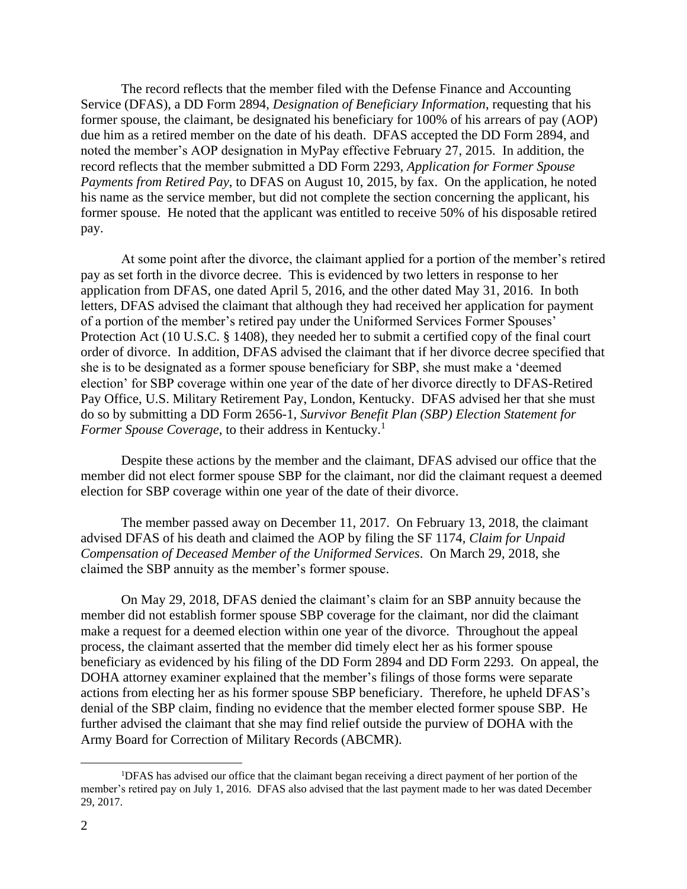The record reflects that the member filed with the Defense Finance and Accounting Service (DFAS), a DD Form 2894, *Designation of Beneficiary Information*, requesting that his former spouse, the claimant, be designated his beneficiary for 100% of his arrears of pay (AOP) due him as a retired member on the date of his death. DFAS accepted the DD Form 2894, and noted the member's AOP designation in MyPay effective February 27, 2015. In addition, the record reflects that the member submitted a DD Form 2293, *Application for Former Spouse Payments from Retired Pay*, to DFAS on August 10, 2015, by fax. On the application, he noted his name as the service member, but did not complete the section concerning the applicant, his former spouse. He noted that the applicant was entitled to receive 50% of his disposable retired pay.

At some point after the divorce, the claimant applied for a portion of the member's retired pay as set forth in the divorce decree. This is evidenced by two letters in response to her application from DFAS, one dated April 5, 2016, and the other dated May 31, 2016. In both letters, DFAS advised the claimant that although they had received her application for payment of a portion of the member's retired pay under the Uniformed Services Former Spouses' Protection Act (10 U.S.C. § 1408), they needed her to submit a certified copy of the final court order of divorce. In addition, DFAS advised the claimant that if her divorce decree specified that she is to be designated as a former spouse beneficiary for SBP, she must make a 'deemed election' for SBP coverage within one year of the date of her divorce directly to DFAS-Retired Pay Office, U.S. Military Retirement Pay, London, Kentucky. DFAS advised her that she must do so by submitting a DD Form 2656-1, *Survivor Benefit Plan (SBP) Election Statement for Former Spouse Coverage*, to their address in Kentucky.<sup>1</sup>

Despite these actions by the member and the claimant, DFAS advised our office that the member did not elect former spouse SBP for the claimant, nor did the claimant request a deemed election for SBP coverage within one year of the date of their divorce.

The member passed away on December 11, 2017. On February 13, 2018, the claimant advised DFAS of his death and claimed the AOP by filing the SF 1174, *Claim for Unpaid Compensation of Deceased Member of the Uniformed Services*. On March 29, 2018, she claimed the SBP annuity as the member's former spouse.

On May 29, 2018, DFAS denied the claimant's claim for an SBP annuity because the member did not establish former spouse SBP coverage for the claimant, nor did the claimant make a request for a deemed election within one year of the divorce. Throughout the appeal process, the claimant asserted that the member did timely elect her as his former spouse beneficiary as evidenced by his filing of the DD Form 2894 and DD Form 2293. On appeal, the DOHA attorney examiner explained that the member's filings of those forms were separate actions from electing her as his former spouse SBP beneficiary. Therefore, he upheld DFAS's denial of the SBP claim, finding no evidence that the member elected former spouse SBP. He further advised the claimant that she may find relief outside the purview of DOHA with the Army Board for Correction of Military Records (ABCMR).

 $\overline{a}$ 

<sup>1</sup>DFAS has advised our office that the claimant began receiving a direct payment of her portion of the member's retired pay on July 1, 2016. DFAS also advised that the last payment made to her was dated December 29, 2017.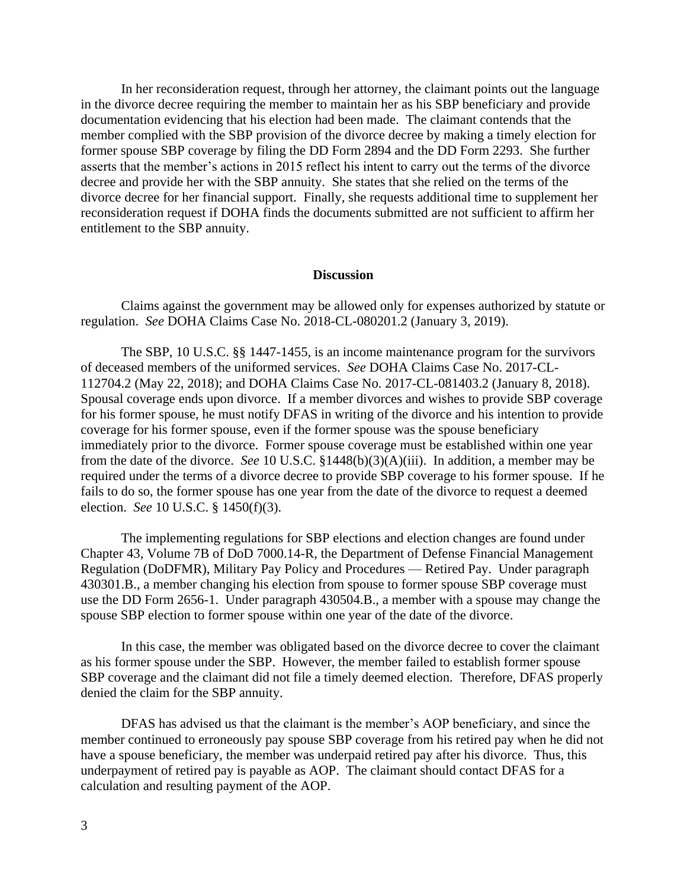In her reconsideration request, through her attorney, the claimant points out the language in the divorce decree requiring the member to maintain her as his SBP beneficiary and provide documentation evidencing that his election had been made. The claimant contends that the member complied with the SBP provision of the divorce decree by making a timely election for former spouse SBP coverage by filing the DD Form 2894 and the DD Form 2293. She further asserts that the member's actions in 2015 reflect his intent to carry out the terms of the divorce decree and provide her with the SBP annuity. She states that she relied on the terms of the divorce decree for her financial support. Finally, she requests additional time to supplement her reconsideration request if DOHA finds the documents submitted are not sufficient to affirm her entitlement to the SBP annuity.

### **Discussion**

Claims against the government may be allowed only for expenses authorized by statute or regulation. *See* DOHA Claims Case No. 2018-CL-080201.2 (January 3, 2019).

The SBP, 10 U.S.C. §§ 1447-1455, is an income maintenance program for the survivors of deceased members of the uniformed services. *See* DOHA Claims Case No. 2017-CL-112704.2 (May 22, 2018); and DOHA Claims Case No. 2017-CL-081403.2 (January 8, 2018). Spousal coverage ends upon divorce. If a member divorces and wishes to provide SBP coverage for his former spouse, he must notify DFAS in writing of the divorce and his intention to provide coverage for his former spouse, even if the former spouse was the spouse beneficiary immediately prior to the divorce. Former spouse coverage must be established within one year from the date of the divorce. *See* 10 U.S.C. §1448(b)(3)(A)(iii). In addition, a member may be required under the terms of a divorce decree to provide SBP coverage to his former spouse. If he fails to do so, the former spouse has one year from the date of the divorce to request a deemed election. *See* 10 U.S.C. § 1450(f)(3).

The implementing regulations for SBP elections and election changes are found under Chapter 43, Volume 7B of DoD 7000.14-R, the Department of Defense Financial Management Regulation (DoDFMR), Military Pay Policy and Procedures — Retired Pay. Under paragraph 430301.B., a member changing his election from spouse to former spouse SBP coverage must use the DD Form 2656-1. Under paragraph 430504.B., a member with a spouse may change the spouse SBP election to former spouse within one year of the date of the divorce.

In this case, the member was obligated based on the divorce decree to cover the claimant as his former spouse under the SBP. However, the member failed to establish former spouse SBP coverage and the claimant did not file a timely deemed election. Therefore, DFAS properly denied the claim for the SBP annuity.

DFAS has advised us that the claimant is the member's AOP beneficiary, and since the member continued to erroneously pay spouse SBP coverage from his retired pay when he did not have a spouse beneficiary, the member was underpaid retired pay after his divorce. Thus, this underpayment of retired pay is payable as AOP. The claimant should contact DFAS for a calculation and resulting payment of the AOP.